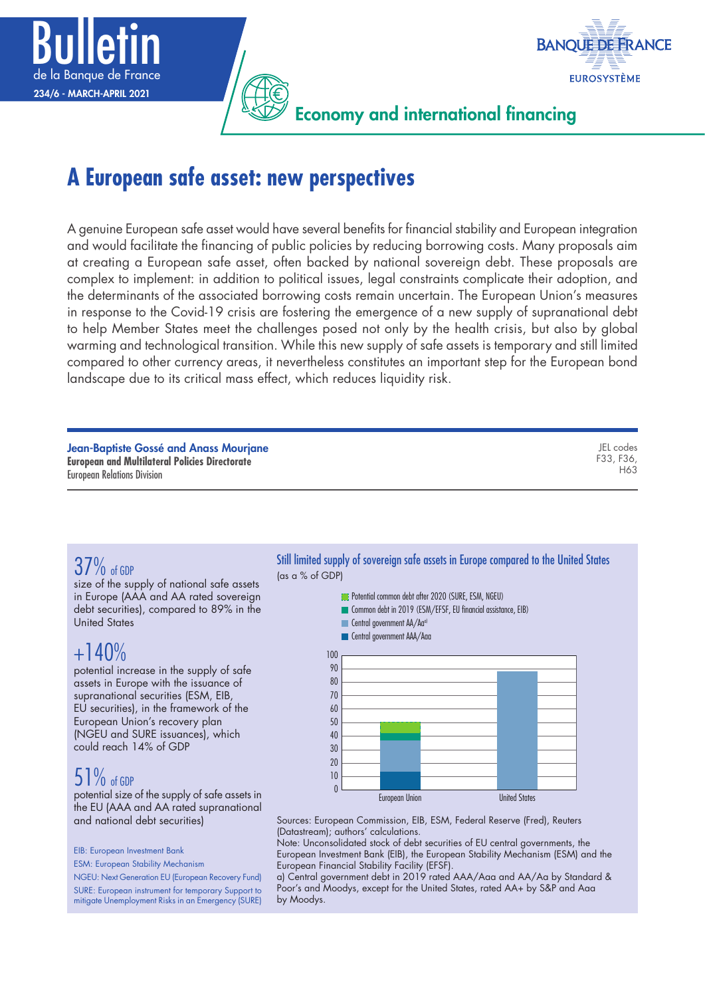



Economy and international financing

# **A European safe asset: new perspectives**

A genuine European safe asset would have several benefits for financial stability and European integration and would facilitate the financing of public policies by reducing borrowing costs. Many proposals aim at creating a European safe asset, often backed by national sovereign debt. These proposals are complex to implement: in addition to political issues, legal constraints complicate their adoption, and the determinants of the associated borrowing costs remain uncertain. The European Union's measures in response to the Covid-19 crisis are fostering the emergence of a new supply of supranational debt to help Member States meet the challenges posed not only by the health crisis, but also by global warming and technological transition. While this new supply of safe assets is temporary and still limited compared to other currency areas, it nevertheless constitutes an important step for the European bond landscape due to its critical mass effect, which reduces liquidity risk.

Jean-Baptiste Gossé and Anass Mourjane **European and Multilateral Policies Directorate** European Relations Division

JEL codes F33, F36, H63

# 37% of GDP

size of the supply of national safe assets in Europe (AAA and AA rated sovereign debt securities), compared to 89% in the United States

## $+140%$

potential increase in the supply of safe assets in Europe with the issuance of supranational securities (ESM, EIB, EU securities), in the framework of the European Union's recovery plan (NGEU and SURE issuances), which could reach 14% of GDP

# 51% of GDP

potential size of the supply of safe assets in the EU (AAA and AA rated supranational and national debt securities)

EIB: European Investment Bank

ESM: European Stability Mechanism

NGEU: Next Generation EU (European Recovery Fund)

SURE: European instrument for temporary Support to mitigate Unemployment Risks in an Emergency (SURE) Still limited supply of sovereign safe assets in Europe compared to the United States (as a % of GDP)

- **Potential common debt after 2020 (SURE, ESM, NGEU)**
- Common debt in 2019 (ESM/EFSF, EU financial assistance, EIB)
- Central government AA/Aa<sup>a)</sup>
- **Central government AAA/Aaa**



Sources: European Commission, EIB, ESM, Federal Reserve (Fred), Reuters (Datastream); authors' calculations.

Note: Unconsolidated stock of debt securities of EU central governments, the European Investment Bank (EIB), the European Stability Mechanism (ESM) and the European Financial Stability Facility (EFSF).

a) Central government debt in 2019 rated AAA/Aaa and AA/Aa by Standard & Poor's and Moodys, except for the United States, rated AA+ by S&P and Aaa by Moodys.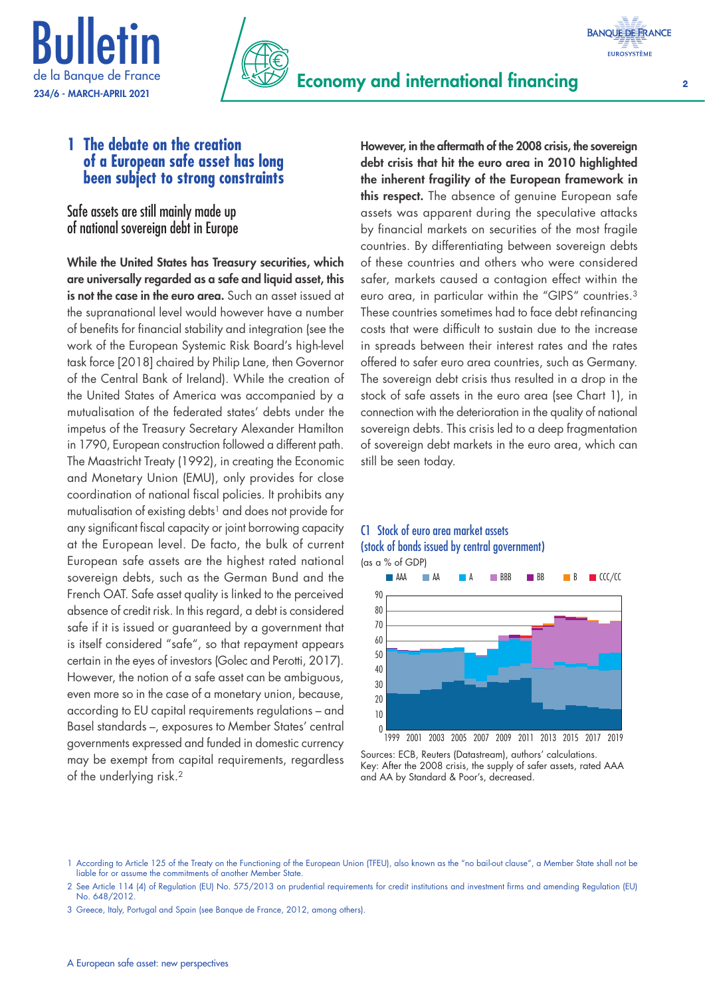



### **1 The debate on the creation of a European safe asset has long been subject to strong constraints**

Safe assets are still mainly made up of national sovereign debt in Europe

While the United States has Treasury securities, which are universally regarded as a safe and liquid asset, this is not the case in the euro area. Such an asset issued at the supranational level would however have a number of benefits for financial stability and integration (see the work of the European Systemic Risk Board's high-level task force [2018] chaired by Philip Lane, then Governor of the Central Bank of Ireland). While the creation of the United States of America was accompanied by a mutualisation of the federated states' debts under the impetus of the Treasury Secretary Alexander Hamilton in 1790, European construction followed a different path. The Maastricht Treaty (1992), in creating the Economic and Monetary Union (EMU), only provides for close coordination of national fiscal policies. It prohibits any mutualisation of existing debts<sup>1</sup> and does not provide for any significant fiscal capacity or joint borrowing capacity at the European level. De facto, the bulk of current European safe assets are the highest rated national sovereign debts, such as the German Bund and the French OAT. Safe asset quality is linked to the perceived absence of credit risk. In this regard, a debt is considered safe if it is issued or guaranteed by a government that is itself considered "safe", so that repayment appears certain in the eyes of investors (Golec and Perotti, 2017). However, the notion of a safe asset can be ambiguous, even more so in the case of a monetary union, because, according to EU capital requirements regulations – and Basel standards –, exposures to Member States' central governments expressed and funded in domestic currency may be exempt from capital requirements, regardless of the underlying risk.2

However, in the aftermath of the 2008 crisis, the sovereign debt crisis that hit the euro area in 2010 highlighted the inherent fragility of the European framework in this respect. The absence of genuine European safe assets was apparent during the speculative attacks by financial markets on securities of the most fragile countries. By differentiating between sovereign debts of these countries and others who were considered safer, markets caused a contagion effect within the euro area, in particular within the "GIPS" countries.3 These countries sometimes had to face debt refinancing costs that were difficult to sustain due to the increase in spreads between their interest rates and the rates offered to safer euro area countries, such as Germany. The sovereign debt crisis thus resulted in a drop in the stock of safe assets in the euro area (see Chart 1), in connection with the deterioration in the quality of national sovereign debts. This crisis led to a deep fragmentation of sovereign debt markets in the euro area, which can still be seen today.

### C1 Stock of euro area market assets (stock of bonds issued by central government) (as a % of GDP)



Sources: ECB, Reuters (Datastream), authors' calculations. Key: After the 2008 crisis, the supply of safer assets, rated AAA and AA by Standard & Poor's, decreased.

<sup>1</sup> According to Article 125 of the Treaty on the Functioning of the European Union (TFEU), also known as the "no bail-out clause", a Member State shall not be liable for or assume the commitments of another Member State.

<sup>2</sup> See Article 114 (4) of Regulation (EU) No. 575/2013 on prudential requirements for credit institutions and investment firms and amending Regulation (EU) No. 648/2012.

<sup>3</sup> Greece, Italy, Portugal and Spain (see Banque de France, 2012, among others).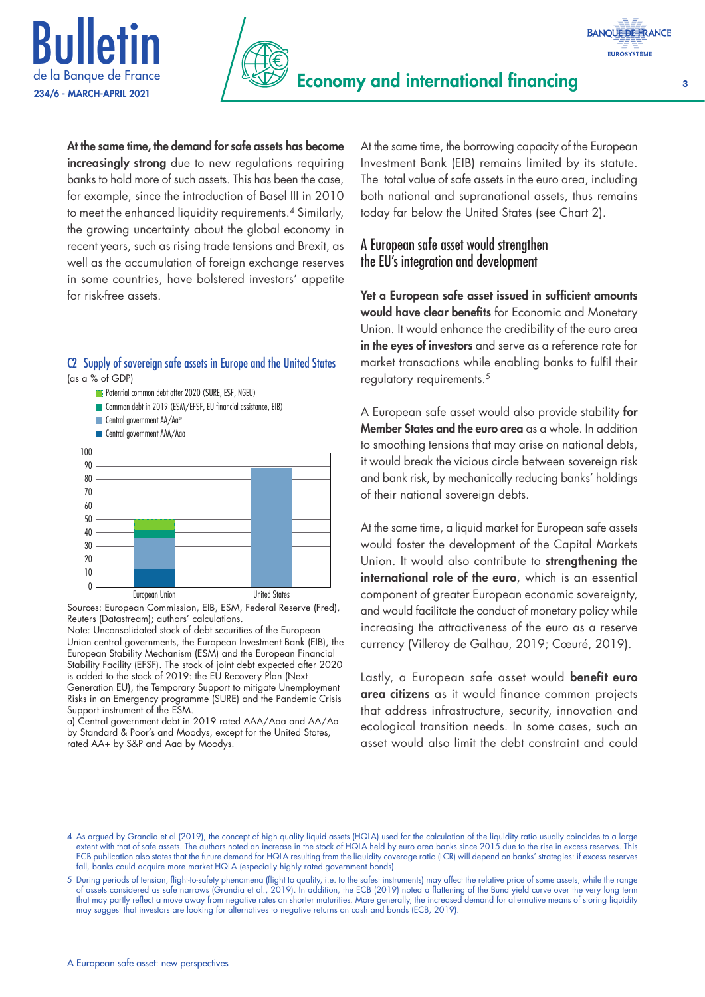





At the same time, the demand for safe assets has become increasingly strong due to new regulations requiring banks to hold more of such assets. This has been the case, for example, since the introduction of Basel III in 2010 to meet the enhanced liquidity requirements.<sup>4</sup> Similarly, the growing uncertainty about the global economy in recent years, such as rising trade tensions and Brexit, as well as the accumulation of foreign exchange reserves in some countries, have bolstered investors' appetite for risk-free assets.

### C2 Supply of sovereign safe assets in Europe and the United States (as a % of GDP)

- **Potential common debt after 2020 (SURE, ESF, NGEU)** Common debt in 2019 (ESM/EFSF, EU financial assistance, EIB)
- Central government AA/Aa<sup>a)</sup>
- Central government AAA/Aaa



Sources: European Commission, EIB, ESM, Federal Reserve (Fred), Reuters (Datastream); authors' calculations.

Note: Unconsolidated stock of debt securities of the European Union central governments, the European Investment Bank (EIB), the European Stability Mechanism (ESM) and the European Financial Stability Facility (EFSF). The stock of joint debt expected after 2020 is added to the stock of 2019: the EU Recovery Plan (Next Generation EU), the Temporary Support to mitigate Unemployment

Risks in an Emergency programme (SURE) and the Pandemic Crisis Support instrument of the ESM.

a) Central government debt in 2019 rated AAA/Aaa and AA/Aa by Standard & Poor's and Moodys, except for the United States, rated AA+ by S&P and Aaa by Moodys.

At the same time, the borrowing capacity of the European Investment Bank (EIB) remains limited by its statute. The total value of safe assets in the euro area, including both national and supranational assets, thus remains today far below the United States (see Chart 2).

### A European safe asset would strengthen the EU's integration and development

Yet a European safe asset issued in sufficient amounts would have clear benefits for Economic and Monetary Union. It would enhance the credibility of the euro area in the eyes of investors and serve as a reference rate for market transactions while enabling banks to fulfil their regulatory requirements.<sup>5</sup>

A European safe asset would also provide stability for Member States and the euro area as a whole. In addition to smoothing tensions that may arise on national debts, it would break the vicious circle between sovereign risk and bank risk, by mechanically reducing banks' holdings of their national sovereign debts.

At the same time, a liquid market for European safe assets would foster the development of the Capital Markets Union. It would also contribute to **strengthening the** international role of the euro, which is an essential component of greater European economic sovereignty, and would facilitate the conduct of monetary policy while increasing the attractiveness of the euro as a reserve currency (Villeroy de Galhau, 2019; Cœuré, 2019).

Lastly, a European safe asset would benefit euro area citizens as it would finance common projects that address infrastructure, security, innovation and ecological transition needs. In some cases, such an asset would also limit the debt constraint and could

<sup>4</sup> As argued by Grandia et al (2019), the concept of high quality liquid assets (HQLA) used for the calculation of the liquidity ratio usually coincides to a large extent with that of safe assets. The authors noted an increase in the stock of HQLA held by euro area banks since 2015 due to the rise in excess reserves. This ECB publication also states that the future demand for HQLA resulting from the liquidity coverage ratio (LCR) will depend on banks' strategies: if excess reserves fall, banks could acquire more market HQLA (especially highly rated government bonds).

<sup>5</sup> During periods of tension, flight-to-safety phenomena (flight to quality, i.e. to the safest instruments) may affect the relative price of some assets, while the range of assets considered as safe narrows (Grandia et al., 2019). In addition, the ECB (2019) noted a flattening of the Bund yield curve over the very long term that may partly reflect a move away from negative rates on shorter maturities. More generally, the increased demand for alternative means of storing liquidity may suggest that investors are looking for alternatives to negative returns on cash and bonds (ECB, 2019).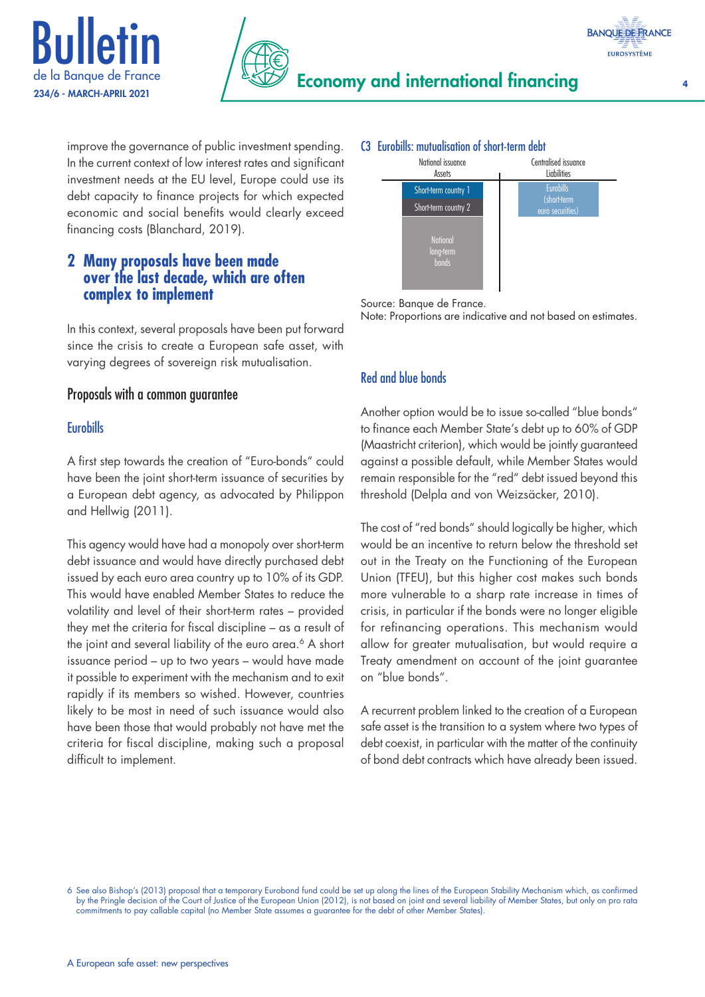



improve the governance of public investment spending. In the current context of low interest rates and significant investment needs at the EU level, Europe could use its debt capacity to finance projects for which expected economic and social benefits would clearly exceed financing costs (Blanchard, 2019).

### **2 Many proposals have been made over the last decade, which are often complex to implement**

In this context, several proposals have been put forward since the crisis to create a European safe asset, with varying degrees of sovereign risk mutualisation.

### Proposals with a common guarantee

### **Eurobills**

A first step towards the creation of "Euro-bonds" could have been the joint short-term issuance of securities by a European debt agency, as advocated by Philippon and Hellwig (2011).

This agency would have had a monopoly over short-term debt issuance and would have directly purchased debt issued by each euro area country up to 10% of its GDP. This would have enabled Member States to reduce the volatility and level of their short-term rates – provided they met the criteria for fiscal discipline – as a result of the joint and several liability of the euro area.<sup>6</sup> A short issuance period – up to two years – would have made it possible to experiment with the mechanism and to exit rapidly if its members so wished. However, countries likely to be most in need of such issuance would also have been those that would probably not have met the criteria for fiscal discipline, making such a proposal difficult to implement.

### C3 Eurobills: mutualisation of short-term debt



Source: Banque de France.

Note: Proportions are indicative and not based on estimates.

### Red and blue bonds

Another option would be to issue so-called "blue bonds" to finance each Member State's debt up to 60% of GDP (Maastricht criterion), which would be jointly guaranteed against a possible default, while Member States would remain responsible for the "red" debt issued beyond this threshold (Delpla and von Weizsäcker, 2010).

The cost of "red bonds" should logically be higher, which would be an incentive to return below the threshold set out in the Treaty on the Functioning of the European Union (TFEU), but this higher cost makes such bonds more vulnerable to a sharp rate increase in times of crisis, in particular if the bonds were no longer eligible for refinancing operations. This mechanism would allow for greater mutualisation, but would require a Treaty amendment on account of the joint guarantee on "blue bonds".

A recurrent problem linked to the creation of a European safe asset is the transition to a system where two types of debt coexist, in particular with the matter of the continuity of bond debt contracts which have already been issued.

<sup>6</sup> See also Bishop's (2013) proposal that a temporary Eurobond fund could be set up along the lines of the European Stability Mechanism which, as confirmed by the Pringle decision of the Court of Justice of the European Union (2012), is not based on joint and several liability of Member States, but only on pro rata commitments to pay callable capital (no Member State assumes a guarantee for the debt of other Member States).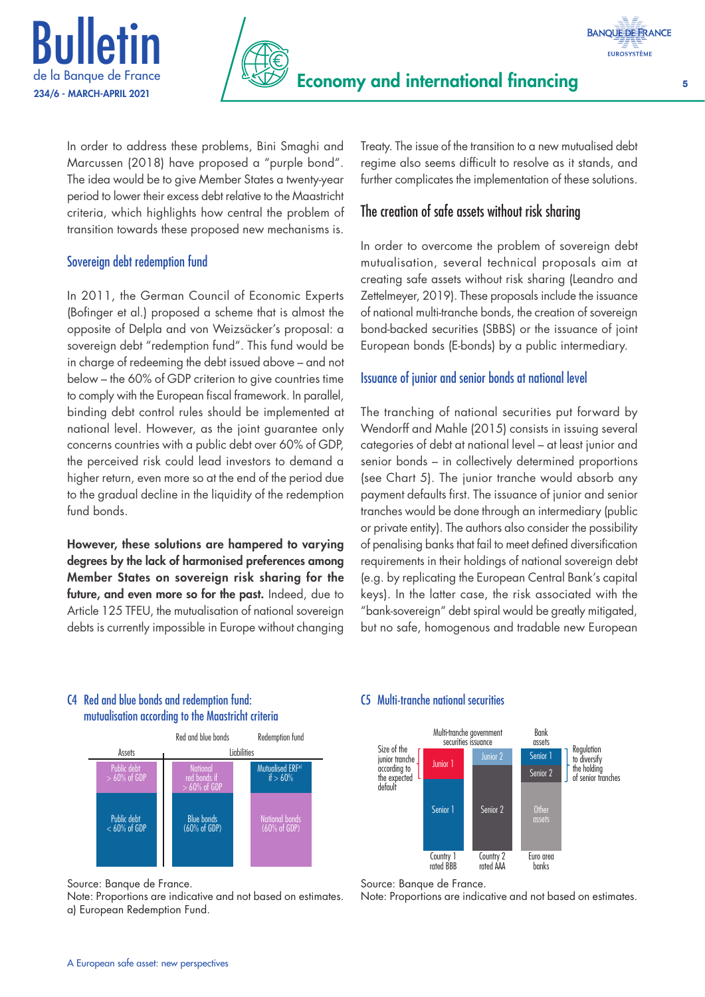





In order to address these problems, Bini Smaghi and Marcussen (2018) have proposed a "purple bond". The idea would be to give Member States a twenty-year period to lower their excess debt relative to the Maastricht criteria, which highlights how central the problem of transition towards these proposed new mechanisms is.

### Sovereign debt redemption fund

In 2011, the German Council of Economic Experts (Bofinger et al.) proposed a scheme that is almost the opposite of Delpla and von Weizsäcker's proposal: a sovereign debt "redemption fund". This fund would be in charge of redeeming the debt issued above – and not below – the 60% of GDP criterion to give countries time to comply with the European fiscal framework. In parallel, binding debt control rules should be implemented at national level. However, as the joint guarantee only concerns countries with a public debt over 60% of GDP, the perceived risk could lead investors to demand a higher return, even more so at the end of the period due to the gradual decline in the liquidity of the redemption fund bonds.

However, these solutions are hampered to varying degrees by the lack of harmonised preferences among Member States on sovereign risk sharing for the future, and even more so for the past. Indeed, due to Article 125 TFEU, the mutualisation of national sovereign debts is currently impossible in Europe without changing Treaty. The issue of the transition to a new mutualised debt regime also seems difficult to resolve as it stands, and further complicates the implementation of these solutions.

### The creation of safe assets without risk sharing

In order to overcome the problem of sovereign debt mutualisation, several technical proposals aim at creating safe assets without risk sharing (Leandro and Zettelmeyer, 2019). These proposals include the issuance of national multi-tranche bonds, the creation of sovereign bond-backed securities (SBBS) or the issuance of joint European bonds (E-bonds) by a public intermediary.

### Issuance of junior and senior bonds at national level

The tranching of national securities put forward by Wendorff and Mahle (2015) consists in issuing several categories of debt at national level – at least junior and senior bonds – in collectively determined proportions (see Chart 5). The junior tranche would absorb any payment defaults first. The issuance of junior and senior tranches would be done through an intermediary (public or private entity). The authors also consider the possibility of penalising banks that fail to meet defined diversification requirements in their holdings of national sovereign debt (e.g. by replicating the European Central Bank's capital keys). In the latter case, the risk associated with the "bank-sovereign" debt spiral would be greatly mitigated, but no safe, homogenous and tradable new European

### C4 Red and blue bonds and redemption fund: mutualisation according to the Maastricht criteria



Source: Banque de France.

Note: Proportions are indicative and not based on estimates. a) European Redemption Fund.

### C5 Multi-tranche national securities



Source: Banque de France.

Note: Proportions are indicative and not based on estimates.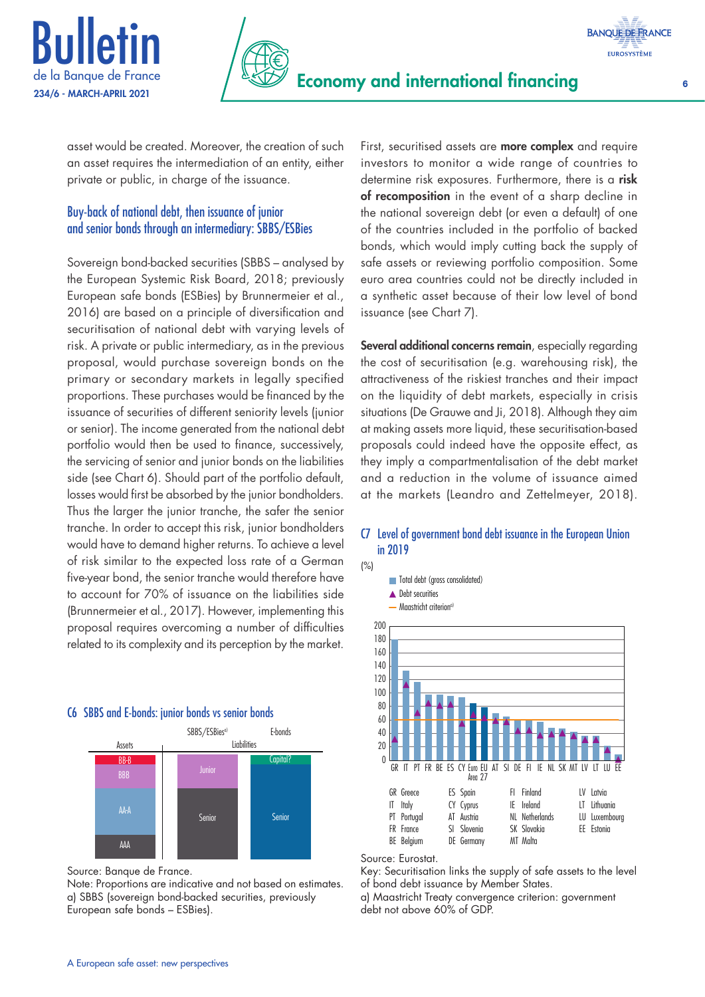



asset would be created. Moreover, the creation of such an asset requires the intermediation of an entity, either private or public, in charge of the issuance.

### Buy-back of national debt, then issuance of junior and senior bonds through an intermediary: SBBS/ESBies

Sovereign bond-backed securities (SBBS – analysed by the European Systemic Risk Board, 2018; previously European safe bonds (ESBies) by Brunnermeier et al., 2016) are based on a principle of diversification and securitisation of national debt with varying levels of risk. A private or public intermediary, as in the previous proposal, would purchase sovereign bonds on the primary or secondary markets in legally specified proportions. These purchases would be financed by the issuance of securities of different seniority levels (junior or senior). The income generated from the national debt portfolio would then be used to finance, successively, the servicing of senior and junior bonds on the liabilities side (see Chart 6). Should part of the portfolio default, losses would first be absorbed by the junior bondholders. Thus the larger the junior tranche, the safer the senior tranche. In order to accept this risk, junior bondholders would have to demand higher returns. To achieve a level of risk similar to the expected loss rate of a German five-year bond, the senior tranche would therefore have to account for 70% of issuance on the liabilities side (Brunnermeier et al., 2017). However, implementing this proposal requires overcoming a number of difficulties related to its complexity and its perception by the market.

### C6 SBBS and E-bonds: junior bonds vs senior bonds



Source: Banque de France.

Note: Proportions are indicative and not based on estimates. a) SBBS (sovereign bond-backed securities, previously European safe bonds – ESBies).

First, securitised assets are **more complex** and require investors to monitor a wide range of countries to determine risk exposures. Furthermore, there is a risk of recomposition in the event of a sharp decline in the national sovereign debt (or even a default) of one of the countries included in the portfolio of backed bonds, which would imply cutting back the supply of safe assets or reviewing portfolio composition. Some euro area countries could not be directly included in a synthetic asset because of their low level of bond issuance (see Chart 7).

Several additional concerns remain, especially regarding the cost of securitisation (e.g. warehousing risk), the attractiveness of the riskiest tranches and their impact on the liquidity of debt markets, especially in crisis situations (De Grauwe and Ji, 2018). Although they aim at making assets more liquid, these securitisation-based proposals could indeed have the opposite effect, as they imply a compartmentalisation of the debt market and a reduction in the volume of issuance aimed at the markets (Leandro and Zettelmeyer, 2018).

### C7 Level of government bond debt issuance in the European Union in 2019



### Source: Eurostat.

(%)

Key: Securitisation links the supply of safe assets to the level of bond debt issuance by Member States.

a) Maastricht Treaty convergence criterion: government debt not above 60% of GDP.

**BANQUE DE FRANCE EUROSYSTÈME**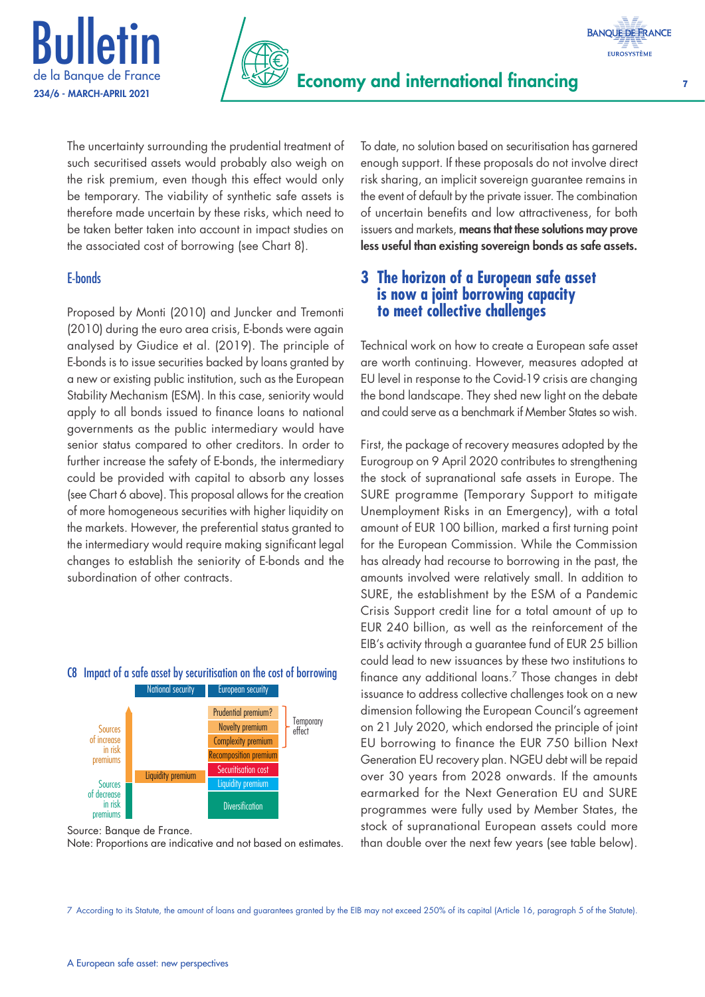



The uncertainty surrounding the prudential treatment of such securitised assets would probably also weigh on the risk premium, even though this effect would only be temporary. The viability of synthetic safe assets is therefore made uncertain by these risks, which need to be taken better taken into account in impact studies on the associated cost of borrowing (see Chart 8).

### E-bonds

Proposed by Monti (2010) and Juncker and Tremonti (2010) during the euro area crisis, E-bonds were again analysed by Giudice et al. (2019). The principle of E-bonds is to issue securities backed by loans granted by a new or existing public institution, such as the European Stability Mechanism (ESM). In this case, seniority would apply to all bonds issued to finance loans to national governments as the public intermediary would have senior status compared to other creditors. In order to further increase the safety of E-bonds, the intermediary could be provided with capital to absorb any losses (see Chart 6 above). This proposal allows for the creation of more homogeneous securities with higher liquidity on the markets. However, the preferential status granted to the intermediary would require making significant legal changes to establish the seniority of E-bonds and the subordination of other contracts.



C8 Impact of a safe asset by securitisation on the cost of borrowing

Source: Banque de France. Note: Proportions are indicative and not based on estimates. To date, no solution based on securitisation has garnered enough support. If these proposals do not involve direct risk sharing, an implicit sovereign guarantee remains in the event of default by the private issuer. The combination of uncertain benefits and low attractiveness, for both issuers and markets, means that these solutions may prove less useful than existing sovereign bonds as safe assets.

### **3 The horizon of a European safe asset is now a joint borrowing capacity to meet collective challenges**

Technical work on how to create a European safe asset are worth continuing. However, measures adopted at EU level in response to the Covid-19 crisis are changing the bond landscape. They shed new light on the debate and could serve as a benchmark if Member States so wish.

First, the package of recovery measures adopted by the Eurogroup on 9 April 2020 contributes to strengthening the stock of supranational safe assets in Europe. The SURE programme (Temporary Support to mitigate Unemployment Risks in an Emergency), with a total amount of EUR 100 billion, marked a first turning point for the European Commission. While the Commission has already had recourse to borrowing in the past, the amounts involved were relatively small. In addition to SURE, the establishment by the ESM of a Pandemic Crisis Support credit line for a total amount of up to EUR 240 billion, as well as the reinforcement of the EIB's activity through a guarantee fund of EUR 25 billion could lead to new issuances by these two institutions to finance any additional loans.7 Those changes in debt issuance to address collective challenges took on a new dimension following the European Council's agreement on 21 July 2020, which endorsed the principle of joint EU borrowing to finance the EUR 750 billion Next Generation EU recovery plan. NGEU debt will be repaid over 30 years from 2028 onwards. If the amounts earmarked for the Next Generation EU and SURE programmes were fully used by Member States, the stock of supranational European assets could more than double over the next few years (see table below).

7 According to its Statute, the amount of loans and guarantees granted by the EIB may not exceed 250% of its capital (Article 16, paragraph 5 of the Statute).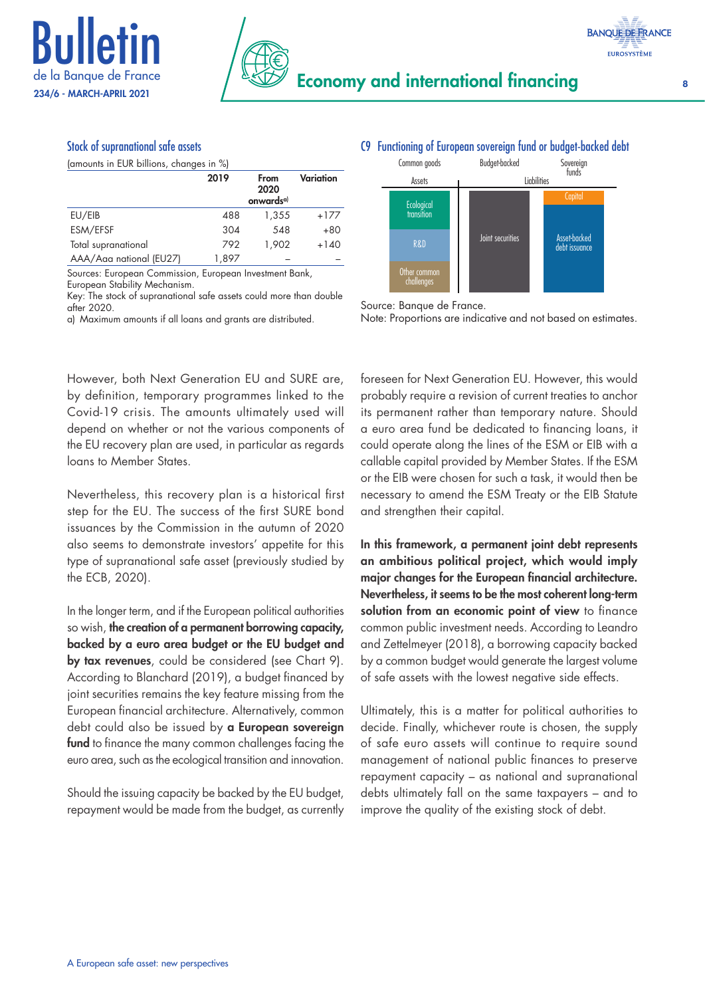



### Stock of supranational safe assets

(amounts in EUR billions, changes in %)

|                         | 2019  | From<br>2020<br>onwards <sup>a)</sup> | Variation |
|-------------------------|-------|---------------------------------------|-----------|
| EU/EIB                  | 488   | 1,355                                 | $+177$    |
| ESM/EFSF                | 304   | 548                                   | $+80$     |
| Total supranational     | 792   | 1.902                                 | $+140$    |
| AAA/Aaa national (EU27) | 1,897 |                                       |           |

Sources: European Commission, European Investment Bank, European Stability Mechanism.

Key: The stock of supranational safe assets could more than double after 2020.

a) Maximum amounts if all loans and grants are distributed.

However, both Next Generation EU and SURE are, by definition, temporary programmes linked to the Covid-19 crisis. The amounts ultimately used will depend on whether or not the various components of the EU recovery plan are used, in particular as regards loans to Member States.

Nevertheless, this recovery plan is a historical first step for the EU. The success of the first SURE bond issuances by the Commission in the autumn of 2020 also seems to demonstrate investors' appetite for this type of supranational safe asset (previously studied by the ECB, 2020).

In the longer term, and if the European political authorities so wish, the creation of a permanent borrowing capacity, backed by a euro area budget or the EU budget and by tax revenues, could be considered (see Chart 9). According to Blanchard (2019), a budget financed by joint securities remains the key feature missing from the European financial architecture. Alternatively, common debt could also be issued by a European sovereign fund to finance the many common challenges facing the euro area, such as the ecological transition and innovation.

Should the issuing capacity be backed by the EU budget, repayment would be made from the budget, as currently

### C9 Functioning of European sovereign fund or budget-backed debt





Source: Banque de France.

Note: Proportions are indicative and not based on estimates.

foreseen for Next Generation EU. However, this would probably require a revision of current treaties to anchor its permanent rather than temporary nature. Should a euro area fund be dedicated to financing loans, it could operate along the lines of the ESM or EIB with a callable capital provided by Member States. If the ESM or the EIB were chosen for such a task, it would then be necessary to amend the ESM Treaty or the EIB Statute and strengthen their capital.

In this framework, a permanent joint debt represents an ambitious political project, which would imply major changes for the European financial architecture. Nevertheless, it seems to be the most coherent long-term solution from an economic point of view to finance common public investment needs. According to Leandro and Zettelmeyer (2018), a borrowing capacity backed by a common budget would generate the largest volume of safe assets with the lowest negative side effects.

Ultimately, this is a matter for political authorities to decide. Finally, whichever route is chosen, the supply of safe euro assets will continue to require sound management of national public finances to preserve repayment capacity – as national and supranational debts ultimately fall on the same taxpayers – and to improve the quality of the existing stock of debt.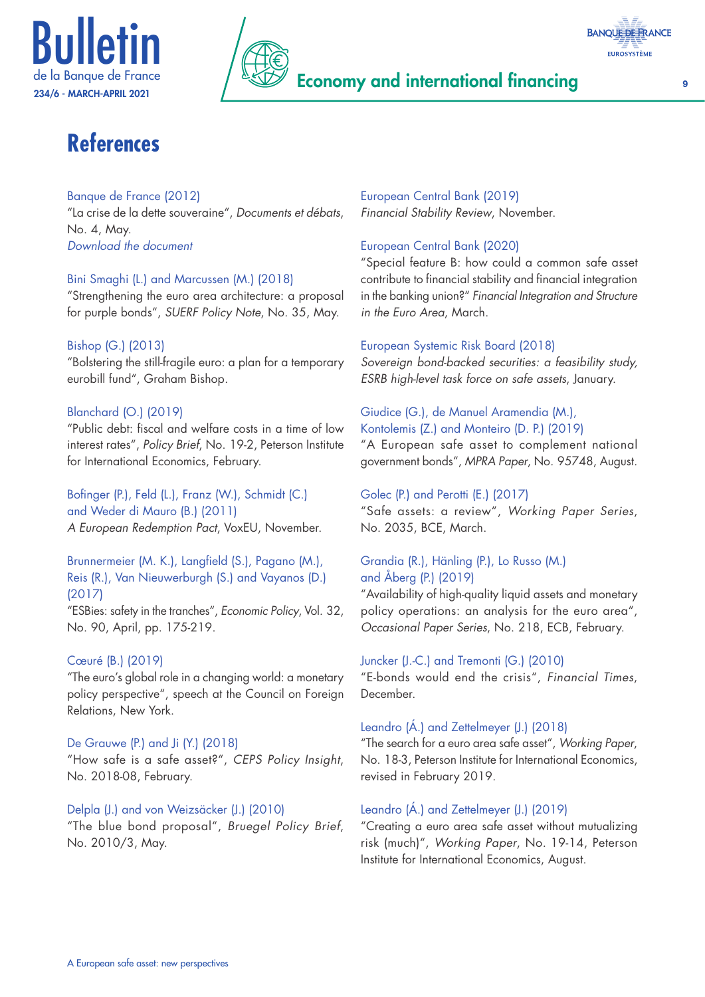





# **References**

### Banque de France (2012)

"La crise de la dette souveraine", *Documents et débats*, No. 4, May. *[Download the document](https://publications.banque-france.fr/sites/default/files/documents-et-debats-numero-4-integral.pdf)*

### Bini Smaghi (L.) and Marcussen (M.) (2018)

"Strengthening the euro area architecture: a proposal for purple bonds", *SUERF Policy Note*, No. 35, May.

### Bishop (G.) (2013)

"Bolstering the still-fragile euro: a plan for a temporary eurobill fund", Graham Bishop.

### Blanchard (O.) (2019)

"Public debt: fiscal and welfare costs in a time of low interest rates", *Policy Brief*, No. 19-2, Peterson Institute for International Economics, February.

Bofinger (P.), Feld (L.), Franz (W.), Schmidt (C.) and Weder di Mauro (B.) (2011) *A European Redemption Pact*, VoxEU, November.

### Brunnermeier (M. K.), Langfield (S.), Pagano (M.), Reis (R.), Van Nieuwerburgh (S.) and Vayanos (D.) (2017)

"ESBies: safety in the tranches", *Economic Policy*, Vol. 32, No. 90, April, pp. 175-219.

### Cœuré (B.) (2019)

"The euro's global role in a changing world: a monetary policy perspective", speech at the Council on Foreign Relations, New York.

### De Grauwe (P.) and Ji (Y.) (2018)

"How safe is a safe asset?", *CEPS Policy Insight*, No. 2018-08, February.

### Delpla (J.) and von Weizsäcker (J.) (2010)

"The blue bond proposal", *Bruegel Policy Brief*, No. 2010/3, May.

### European Central Bank (2019) *Financial Stability Review*, November.

### European Central Bank (2020)

"Special feature B: how could a common safe asset contribute to financial stability and financial integration in the banking union?" *Financial Integration and Structure in the Euro Area*, March.

### European Systemic Risk Board (2018)

*Sovereign bond-backed securities: a feasibility study, ESRB high-level task force on safe assets*, January.

### Giudice (G.), de Manuel Aramendia (M.),

Kontolemis (Z.) and Monteiro (D. P.) (2019) "A European safe asset to complement national government bonds", *MPRA Paper*, No. 95748, August.

### Golec (P.) and Perotti (E.) (2017)

"Safe assets: a review", *Working Paper Series*, No. 2035, BCE, March.

### Grandia (R.), Hänling (P.), Lo Russo (M.) and Åberg (P.) (2019)

"Availability of high-quality liquid assets and monetary policy operations: an analysis for the euro area", *Occasional Paper Series*, No. 218, ECB, February.

## Juncker (J.-C.) and Tremonti (G.) (2010)

"E-bonds would end the crisis", *Financial Times*, December.

### Leandro (Á.) and Zettelmeyer (J.) (2018)

"The search for a euro area safe asset", *Working Paper*, No. 18-3, Peterson Institute for International Economics, revised in February 2019.

### Leandro (Á.) and Zettelmeyer (J.) (2019)

"Creating a euro area safe asset without mutualizing risk (much)", *Working Paper*, No. 19-14, Peterson Institute for International Economics, August.